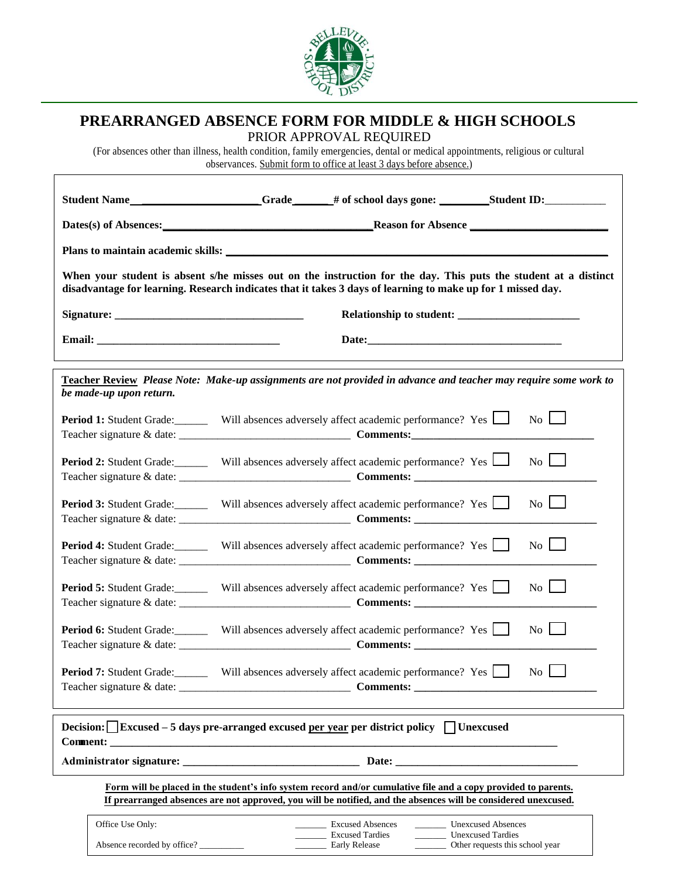

## **PREARRANGED ABSENCE FORM FOR MIDDLE & HIGH SCHOOLS**

 $\sqrt{ }$ 

PRIOR APPROVAL REQUIRED

(For absences other than illness, health condition, family emergencies, dental or medical appointments, religious or cultural observances. Submit form to office at least 3 days before absence.)

|                                                                                                                                                                                                                                  | Student Name ___________________Grade _____ # of school days gone: ________Student ID: ____________                                                                                                                                                                                                                                                                                                                                                                                                                                                                                                                                                                                                                                                                                                                                                                                                                                                          |
|----------------------------------------------------------------------------------------------------------------------------------------------------------------------------------------------------------------------------------|--------------------------------------------------------------------------------------------------------------------------------------------------------------------------------------------------------------------------------------------------------------------------------------------------------------------------------------------------------------------------------------------------------------------------------------------------------------------------------------------------------------------------------------------------------------------------------------------------------------------------------------------------------------------------------------------------------------------------------------------------------------------------------------------------------------------------------------------------------------------------------------------------------------------------------------------------------------|
|                                                                                                                                                                                                                                  |                                                                                                                                                                                                                                                                                                                                                                                                                                                                                                                                                                                                                                                                                                                                                                                                                                                                                                                                                              |
|                                                                                                                                                                                                                                  |                                                                                                                                                                                                                                                                                                                                                                                                                                                                                                                                                                                                                                                                                                                                                                                                                                                                                                                                                              |
| When your student is absent s/he misses out on the instruction for the day. This puts the student at a distinct<br>disadvantage for learning. Research indicates that it takes 3 days of learning to make up for 1 missed day.   |                                                                                                                                                                                                                                                                                                                                                                                                                                                                                                                                                                                                                                                                                                                                                                                                                                                                                                                                                              |
|                                                                                                                                                                                                                                  |                                                                                                                                                                                                                                                                                                                                                                                                                                                                                                                                                                                                                                                                                                                                                                                                                                                                                                                                                              |
|                                                                                                                                                                                                                                  |                                                                                                                                                                                                                                                                                                                                                                                                                                                                                                                                                                                                                                                                                                                                                                                                                                                                                                                                                              |
| be made-up upon return.                                                                                                                                                                                                          | Teacher Review Please Note: Make-up assignments are not provided in advance and teacher may require some work to                                                                                                                                                                                                                                                                                                                                                                                                                                                                                                                                                                                                                                                                                                                                                                                                                                             |
|                                                                                                                                                                                                                                  | <b>Period 1:</b> Student Grade: Will absences adversely affect academic performance? Yes<br>$\overline{N_{0}}$                                                                                                                                                                                                                                                                                                                                                                                                                                                                                                                                                                                                                                                                                                                                                                                                                                               |
|                                                                                                                                                                                                                                  | $\overline{N_0}$<br><b>Period 2:</b> Student Grade: Will absences adversely affect academic performance? Yes $\Box$                                                                                                                                                                                                                                                                                                                                                                                                                                                                                                                                                                                                                                                                                                                                                                                                                                          |
|                                                                                                                                                                                                                                  | $\overline{N_0}$ $\Box$<br><b>Period 3:</b> Student Grade: Will absences adversely affect academic performance? Yes                                                                                                                                                                                                                                                                                                                                                                                                                                                                                                                                                                                                                                                                                                                                                                                                                                          |
|                                                                                                                                                                                                                                  | $\overline{N_0}$<br><b>Period 4:</b> Student Grade: Will absences adversely affect academic performance? Yes                                                                                                                                                                                                                                                                                                                                                                                                                                                                                                                                                                                                                                                                                                                                                                                                                                                 |
|                                                                                                                                                                                                                                  | <b>Period 5:</b> Student Grade: Will absences adversely affect academic performance? Yes<br>$\overline{N_0}$ $\Box$                                                                                                                                                                                                                                                                                                                                                                                                                                                                                                                                                                                                                                                                                                                                                                                                                                          |
|                                                                                                                                                                                                                                  | <b>Period 6:</b> Student Grade: Will absences adversely affect academic performance? Yes<br>$\overline{N_0}$                                                                                                                                                                                                                                                                                                                                                                                                                                                                                                                                                                                                                                                                                                                                                                                                                                                 |
|                                                                                                                                                                                                                                  | <b>Period 7:</b> Student Grade: Will absences adversely affect academic performance? Yes<br>$\overline{N_0}$                                                                                                                                                                                                                                                                                                                                                                                                                                                                                                                                                                                                                                                                                                                                                                                                                                                 |
| Decision: $\Box$ Excused – 5 days pre-arranged excused per year per district policy $\Box$ Unexcused                                                                                                                             |                                                                                                                                                                                                                                                                                                                                                                                                                                                                                                                                                                                                                                                                                                                                                                                                                                                                                                                                                              |
|                                                                                                                                                                                                                                  |                                                                                                                                                                                                                                                                                                                                                                                                                                                                                                                                                                                                                                                                                                                                                                                                                                                                                                                                                              |
| Form will be placed in the student's info system record and/or cumulative file and a copy provided to parents.<br>If prearranged absences are not approved, you will be notified, and the absences will be considered unexcused. |                                                                                                                                                                                                                                                                                                                                                                                                                                                                                                                                                                                                                                                                                                                                                                                                                                                                                                                                                              |
| Office Use Only:                                                                                                                                                                                                                 | <b>Excused Absences</b><br><b>Unexcused Absences</b><br>$\frac{1}{1-\frac{1}{1-\frac{1}{1-\frac{1}{1-\frac{1}{1-\frac{1}{1-\frac{1}{1-\frac{1}{1-\frac{1}{1-\frac{1}{1-\frac{1}{1-\frac{1}{1-\frac{1}{1-\frac{1}{1-\frac{1}{1-\frac{1}{1-\frac{1}{1-\frac{1}{1-\frac{1}{1-\frac{1}{1-\frac{1}{1-\frac{1}{1-\frac{1}{1-\frac{1}{1-\frac{1}{1-\frac{1}{1-\frac{1}{1-\frac{1}{1-\frac{1}{1-\frac{1}{1-\frac{1}{1-\frac{1}{1-\frac{1}{1-\frac{1}{1-\frac{1}{1-\frac{1}{1-\frac{1$<br><b>Excused Tardies</b><br><b>Unexcused Tardies</b><br>$\frac{1}{1-\frac{1}{1-\frac{1}{1-\frac{1}{1-\frac{1}{1-\frac{1}{1-\frac{1}{1-\frac{1}{1-\frac{1}{1-\frac{1}{1-\frac{1}{1-\frac{1}{1-\frac{1}{1-\frac{1}{1-\frac{1}{1-\frac{1}{1-\frac{1}{1-\frac{1}{1-\frac{1}{1-\frac{1}{1-\frac{1}{1-\frac{1}{1-\frac{1}{1-\frac{1}{1-\frac{1}{1-\frac{1}{1-\frac{1}{1-\frac{1}{1-\frac{1}{1-\frac{1}{1-\frac{1}{1-\frac{1}{1-\frac{1}{1-\frac{1}{1-\frac{1}{1-\frac{1}{1-\frac{1$ |
| Absence recorded by office?                                                                                                                                                                                                      | <b>Early Release</b><br>Other requests this school year                                                                                                                                                                                                                                                                                                                                                                                                                                                                                                                                                                                                                                                                                                                                                                                                                                                                                                      |